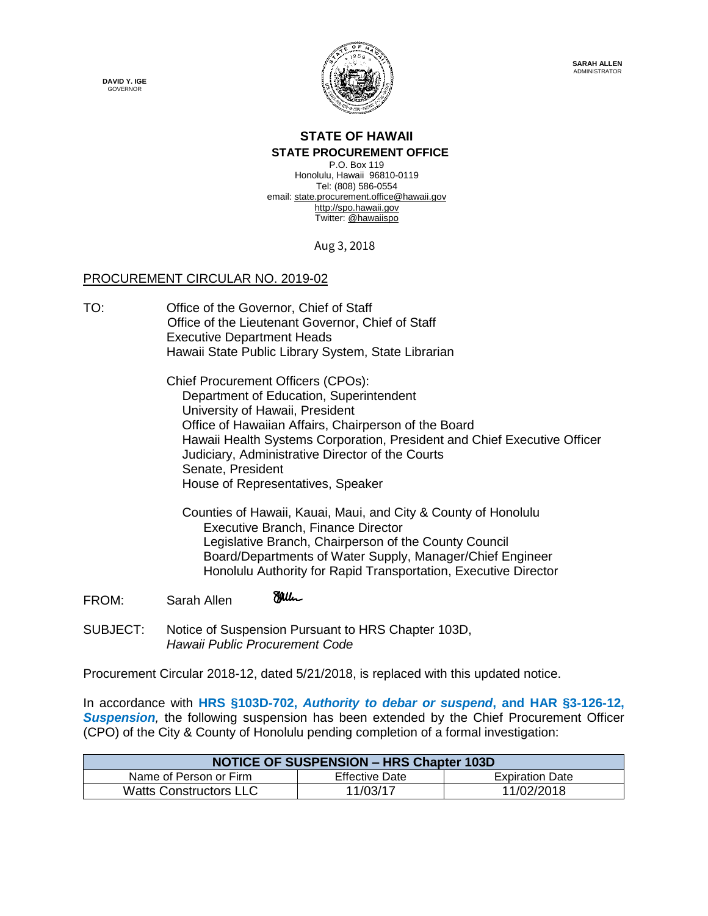**DAVID Y. IGE GOVERNOR** 



## **STATE OF HAWAII**

## **STATE PROCUREMENT OFFICE**

P.O. Box 119 Honolulu, Hawaii 96810-0119 Tel: (808) 586-0554 email[: state.procurement.office@hawaii.gov](mailto:state.procurement.office@hawaii.gov) [http://spo.hawaii.gov](http://spo.hawaii.gov/) Twitter: [@hawaiispo](https://twitter.com/hawaiispo)

Aug 3, 2018

## PROCUREMENT CIRCULAR NO. 2019-02

TO: Office of the Governor, Chief of Staff Office of the Lieutenant Governor, Chief of Staff Executive Department Heads Hawaii State Public Library System, State Librarian

> Chief Procurement Officers (CPOs): Department of Education, Superintendent University of Hawaii, President Office of Hawaiian Affairs, Chairperson of the Board Hawaii Health Systems Corporation, President and Chief Executive Officer Judiciary, Administrative Director of the Courts Senate, President House of Representatives, Speaker

 Counties of Hawaii, Kauai, Maui, and City & County of Honolulu Executive Branch, Finance Director Legislative Branch, Chairperson of the County Council Board/Departments of Water Supply, Manager/Chief Engineer Honolulu Authority for Rapid Transportation, Executive Director

- **Milic** FROM: Sarah Allen
- SUBJECT: Notice of Suspension Pursuant to HRS Chapter 103D, *Hawaii Public Procurement Code*

Procurement Circular 2018-12, dated 5/21/2018, is replaced with this updated notice.

In accordance with **HRS §103D-702,** *Authority to debar or suspend***, and HAR §3-126-12,**  *Suspension,* the following suspension has been extended by the Chief Procurement Officer (CPO) of the City & County of Honolulu pending completion of a formal investigation:

| <b>NOTICE OF SUSPENSION - HRS Chapter 103D</b> |                       |                        |
|------------------------------------------------|-----------------------|------------------------|
| Name of Person or Firm                         | <b>Effective Date</b> | <b>Expiration Date</b> |
| <b>Watts Constructors LLC</b>                  | 11/03/17              | 11/02/2018             |